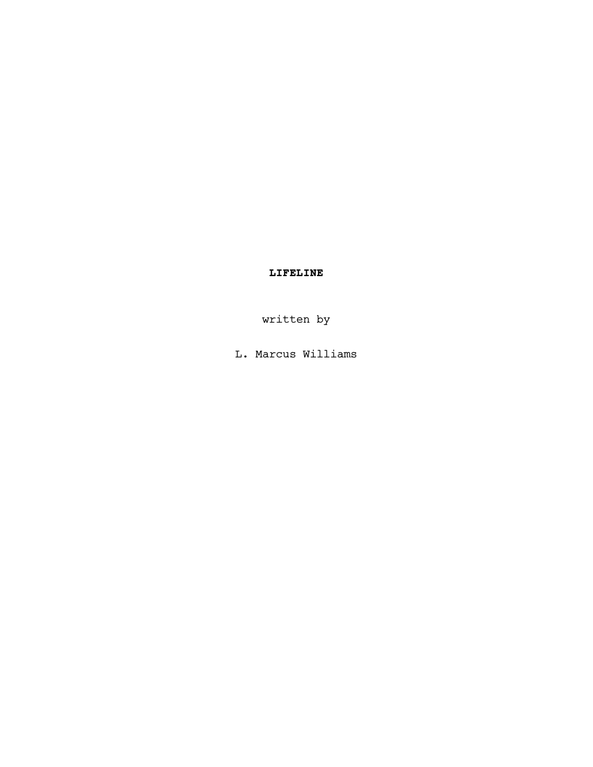# LIFELINE

written by

L. Marcus Williams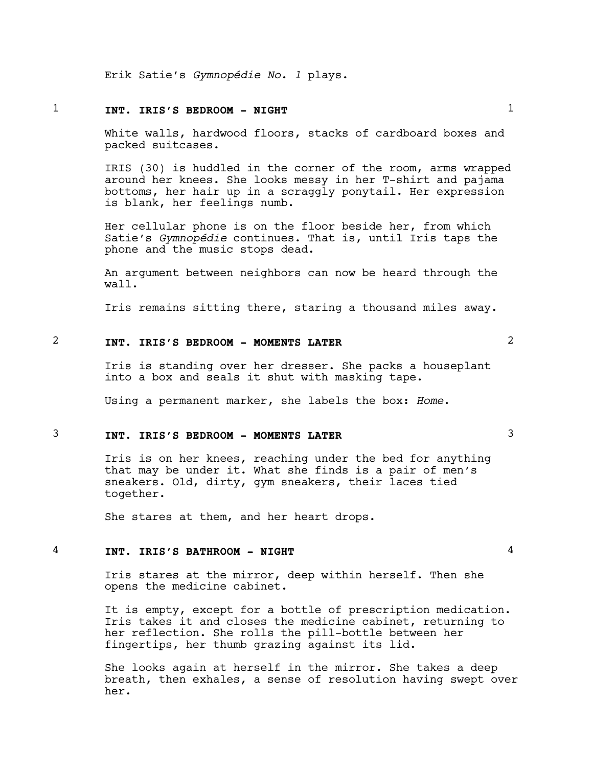Erik Satie's Gymnopédie No. 1 plays.

# $1$  INT. IRIS'S BEDROOM - NIGHT  $1$

White walls, hardwood floors, stacks of cardboard boxes and packed suitcases.

IRIS (30) is huddled in the corner of the room, arms wrapped around her knees. She looks messy in her T-shirt and pajama bottoms, her hair up in a scraggly ponytail. Her expression is blank, her feelings numb.

Her cellular phone is on the floor beside her, from which Satie's Gymnopédie continues. That is, until Iris taps the phone and the music stops dead.

An argument between neighbors can now be heard through the wall.

Iris remains sitting there, staring a thousand miles away.

# 2 2 INT. IRIS'S BEDROOM - MOMENTS LATER

Iris is standing over her dresser. She packs a houseplant into a box and seals it shut with masking tape.

Using a permanent marker, she labels the box: Home.

### 3 3 INT. IRIS'S BEDROOM - MOMENTS LATER

Iris is on her knees, reaching under the bed for anything that may be under it. What she finds is a pair of men's sneakers. Old, dirty, gym sneakers, their laces tied together.

She stares at them, and her heart drops.

### $4$  INT. IRIS'S BATHROOM - NIGHT  $4$

Iris stares at the mirror, deep within herself. Then she opens the medicine cabinet.

It is empty, except for a bottle of prescription medication. Iris takes it and closes the medicine cabinet, returning to her reflection. She rolls the pill-bottle between her fingertips, her thumb grazing against its lid.

She looks again at herself in the mirror. She takes a deep breath, then exhales, a sense of resolution having swept over her.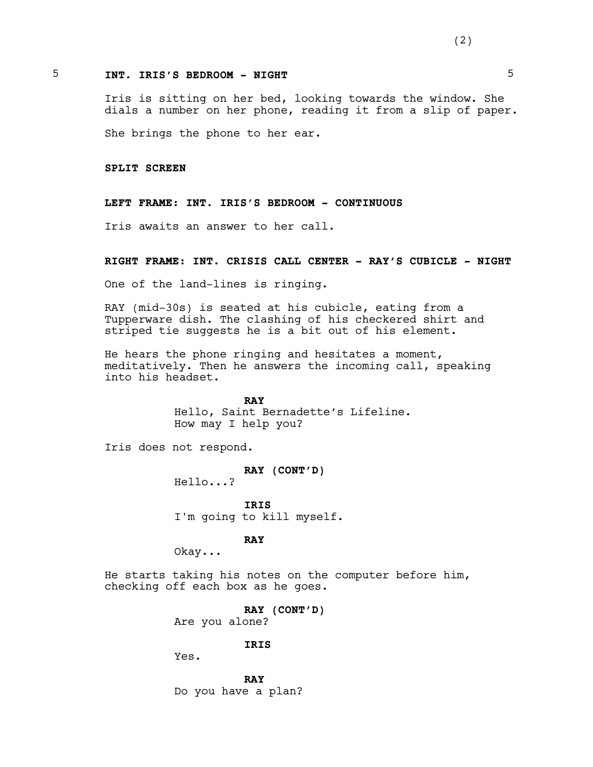### 5 5 INT. IRIS'S BEDROOM - NIGHT

Iris is sitting on her bed, looking towards the window. She dials a number on her phone, reading it from a slip of paper.

She brings the phone to her ear.

SPLIT SCREEN

#### LEFT FRAME: INT. IRIS'S BEDROOM - CONTINUOUS

Iris awaits an answer to her call.

#### RIGHT FRAME: INT. CRISIS CALL CENTER - RAY'S CUBICLE - NIGHT

One of the land-lines is ringing.

RAY (mid-30s) is seated at his cubicle, eating from a Tupperware dish. The clashing of his checkered shirt and striped tie suggests he is a bit out of his element.

He hears the phone ringing and hesitates a moment, meditatively. Then he answers the incoming call, speaking into his headset.

> RAY Hello, Saint Bernadette's Lifeline. How may I help you?

Iris does not respond.

RAY (CONT'D) Hello...?

IRIS I'm going to kill myself.

RAY

Okay...

He starts taking his notes on the computer before him, checking off each box as he goes.

RAY (CONT'D)

Are you alone?

#### IRIS

Yes.

RAY Do you have a plan?